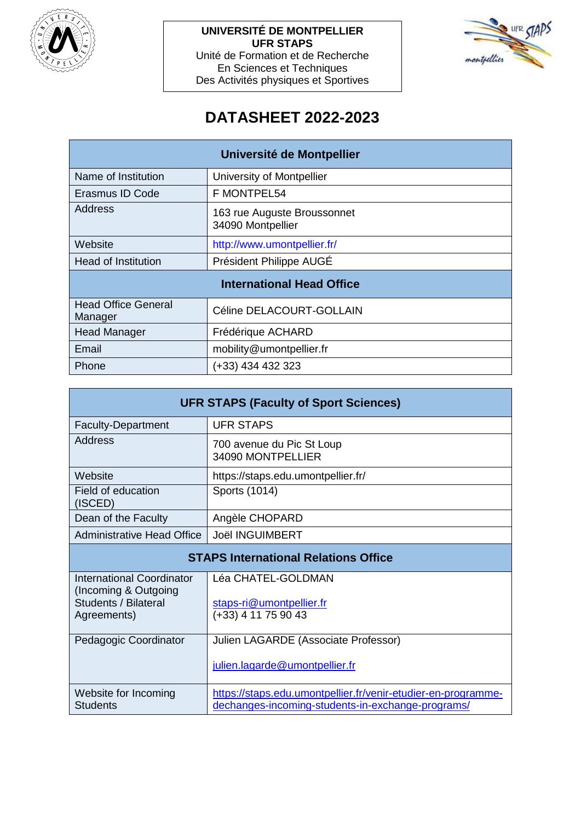

**UNIVERSITÉ DE MONTPELLIER UFR STAPS** Unité de Formation et de Recherche En Sciences et Techniques Des Activités physiques et Sportives



# **DATASHEET 2022-2023**

| Université de Montpellier             |                                                  |  |
|---------------------------------------|--------------------------------------------------|--|
| Name of Institution                   | University of Montpellier                        |  |
| Erasmus ID Code                       | F MONTPEL54                                      |  |
| Address                               | 163 rue Auguste Broussonnet<br>34090 Montpellier |  |
| Website                               | http://www.umontpellier.fr/                      |  |
| <b>Head of Institution</b>            | Président Philippe AUGÉ                          |  |
| <b>International Head Office</b>      |                                                  |  |
| <b>Head Office General</b><br>Manager | Céline DELACOURT-GOLLAIN                         |  |
| <b>Head Manager</b>                   | Frédérique ACHARD                                |  |
| Email                                 | mobility@umontpellier.fr                         |  |
| Phone                                 | (+33) 434 432 323                                |  |

| <b>UFR STAPS (Faculty of Sport Sciences)</b>      |                                                 |  |  |
|---------------------------------------------------|-------------------------------------------------|--|--|
| <b>Faculty-Department</b>                         | <b>UFR STAPS</b>                                |  |  |
| Address                                           | 700 avenue du Pic St Loup<br>34090 MONTPELLIER  |  |  |
| Website                                           | https://staps.edu.umontpellier.fr/              |  |  |
| Field of education<br>(ISCED)                     | Sports (1014)                                   |  |  |
| Dean of the Faculty                               | Angèle CHOPARD                                  |  |  |
| <b>Administrative Head Office</b>                 | <b>Joël INGUIMBERT</b>                          |  |  |
| <b>STAPS International Relations Office</b>       |                                                 |  |  |
| International Coordinator<br>(Incoming & Outgoing | Léa CHATEL-GOLDMAN                              |  |  |
| Students / Bilateral<br>Agreements)               | staps-ri@umontpellier.fr<br>(+33) 4 11 75 90 43 |  |  |
|                                                   |                                                 |  |  |
| Pedagogic Coordinator                             | Julien LAGARDE (Associate Professor)            |  |  |
|                                                   | julien.lagarde@umontpellier.fr                  |  |  |

|                      | 19.0011.099019000011101100001111                              |
|----------------------|---------------------------------------------------------------|
| Website for Incoming | https://staps.edu.umontpellier.fr/venir-etudier-en-programme- |
| Students             | dechanges-incoming-students-in-exchange-programs/             |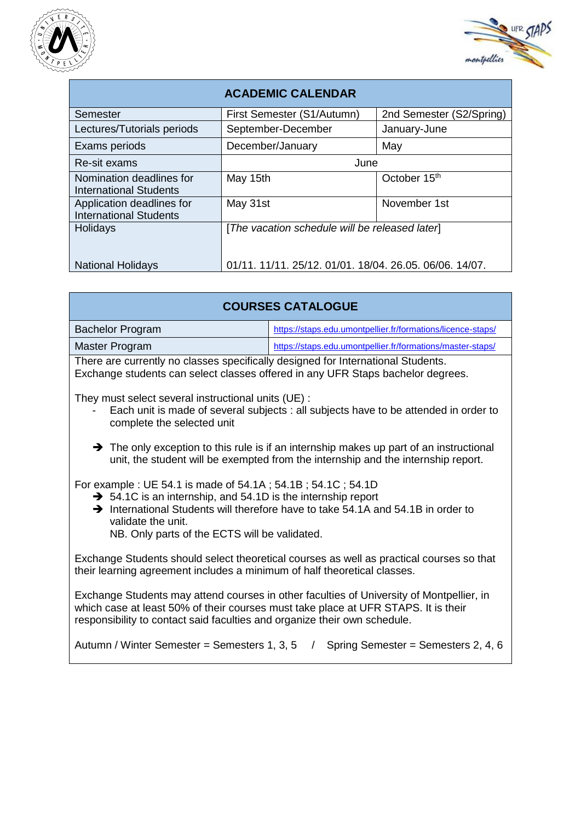



| <b>ACADEMIC CALENDAR</b>                                   |                                                         |                          |  |  |
|------------------------------------------------------------|---------------------------------------------------------|--------------------------|--|--|
| Semester                                                   | First Semester (S1/Autumn)                              | 2nd Semester (S2/Spring) |  |  |
| Lectures/Tutorials periods                                 | September-December                                      | January-June             |  |  |
| Exams periods                                              | December/January                                        | May                      |  |  |
| Re-sit exams                                               | June                                                    |                          |  |  |
| Nomination deadlines for<br>International Students         | May 15th                                                | October 15th             |  |  |
| Application deadlines for<br><b>International Students</b> | May 31st                                                | November 1st             |  |  |
| Holidays                                                   | [The vacation schedule will be released later]          |                          |  |  |
| <b>National Holidays</b>                                   | 01/11. 11/11. 25/12. 01/01. 18/04. 26.05. 06/06. 14/07. |                          |  |  |

| <b>COURSES CATALOGUE</b>                                                         |                                                             |  |
|----------------------------------------------------------------------------------|-------------------------------------------------------------|--|
| <b>Bachelor Program</b>                                                          | https://staps.edu.umontpellier.fr/formations/licence-staps/ |  |
| Master Program                                                                   | https://staps.edu.umontpellier.fr/formations/master-staps/  |  |
| There are currently no classes specifically designed for International Students. |                                                             |  |

Exchange students can select classes offered in any UFR Staps bachelor degrees.

They must select several instructional units (UE) :

- Each unit is made of several subjects : all subjects have to be attended in order to complete the selected unit
- $\rightarrow$  The only exception to this rule is if an internship makes up part of an instructional unit, the student will be exempted from the internship and the internship report.

For example : UE 54.1 is made of 54.1A ; 54.1B ; 54.1C ; 54.1D

- $\rightarrow$  54.1C is an internship, and 54.1D is the internship report
- $\rightarrow$  International Students will therefore have to take 54.1A and 54.1B in order to validate the unit.

NB. Only parts of the ECTS will be validated.

Exchange Students should select theoretical courses as well as practical courses so that their learning agreement includes a minimum of half theoretical classes.

Exchange Students may attend courses in other faculties of University of Montpellier, in which case at least 50% of their courses must take place at UFR STAPS. It is their responsibility to contact said faculties and organize their own schedule.

Autumn / Winter Semester = Semesters 1, 3, 5 / Spring Semester = Semesters 2, 4, 6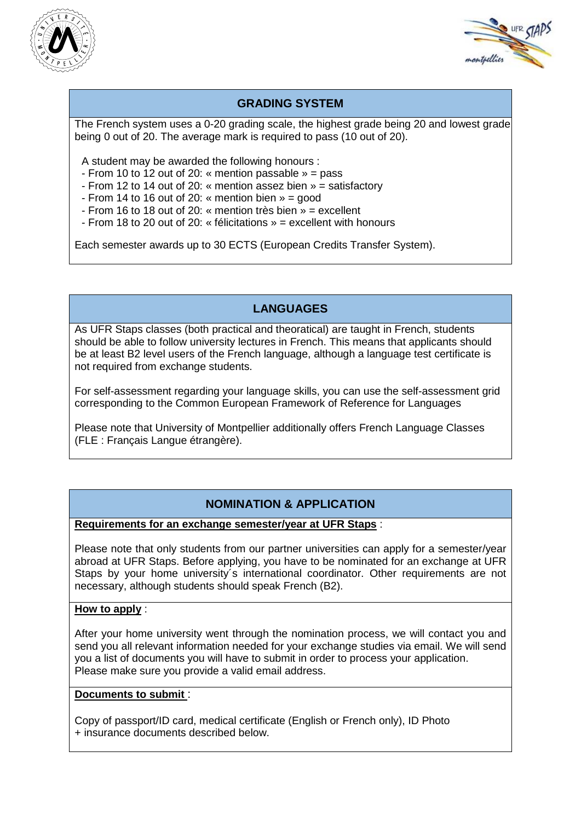



# **GRADING SYSTEM**

The French system uses a 0-20 grading scale, the highest grade being 20 and lowest grade being 0 out of 20. The average mark is required to pass (10 out of 20).

A student may be awarded the following honours :

- From 10 to 12 out of 20: « mention passable » = pass
- From 12 to 14 out of 20: « mention assez bien » = satisfactory
- From 14 to 16 out of 20: « mention bien  $v = q$ ood
- From 16 to 18 out of 20: « mention très bien » = excellent
- From 18 to 20 out of 20: « félicitations » = excellent with honours

Each semester awards up to 30 ECTS (European Credits Transfer System).

# **LANGUAGES**

As UFR Staps classes (both practical and theoratical) are taught in French, students should be able to follow university lectures in French. This means that applicants should be at least B2 level users of the French language, although a language test certificate is not required from exchange students.

For self-assessment regarding your language skills, you can use the self-assessment grid corresponding to the Common European Framework of Reference for Languages

Please note that University of Montpellier additionally offers French Language Classes (FLE : Français Langue étrangère).

## **NOMINATION & APPLICATION**

**Requirements for an exchange semester/year at UFR Staps** :

Please note that only students from our partner universities can apply for a semester/year abroad at UFR Staps. Before applying, you have to be nominated for an exchange at UFR Staps by your home university's international coordinator. Other requirements are not necessary, although students should speak French (B2).

#### **How to apply** :

After your home university went through the nomination process, we will contact you and send you all relevant information needed for your exchange studies via email. We will send you a list of documents you will have to submit in order to process your application. Please make sure you provide a valid email address.

#### **Documents to submit** :

Copy of passport/ID card, medical certificate (English or French only), ID Photo + insurance documents described below.